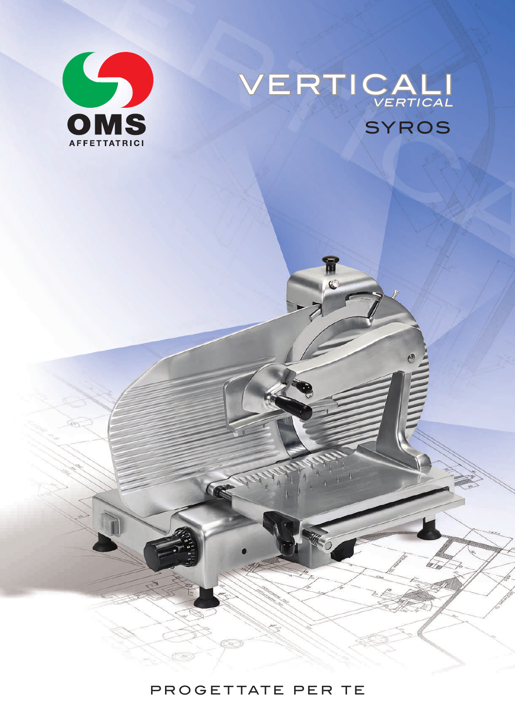

## VERTICALISTICAL SYROS VERTICALI VERTICAL

## PROGETTATE PER TE

30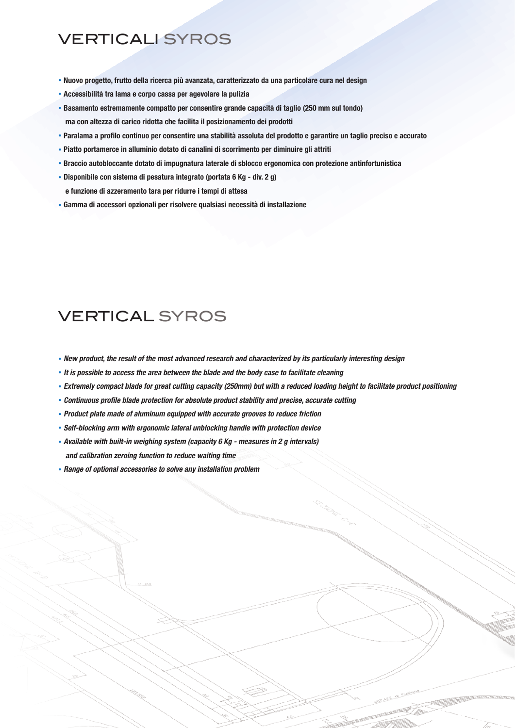## VERTICALI SYROS

- . Nuovo progetto, frutto della ricerca più avanzata, caratterizzato da una particolare cura nel design
- . Accessibilità tra lama e corpo cassa per agevolare la pulizia
- . Basamento estremamente compatto per consentire grande capacità di taglio (250 mm sul tondo) ma con altezza di carico ridotta che facilita il posizionamento dei prodotti
- . Paralama a profilo continuo per consentire una stabilità assoluta del prodotto e garantire un taglio preciso e accurato
- . Piatto portamerce in alluminio dotato di canalini di scorrimento per diminuire gli attriti
- . Braccio autobloccante dotato di impugnatura laterale di sblocco ergonomica con protezione antinfortunistica
- . Disponibile con sistema di pesatura integrato (portata 6 Kg div. 2 g)
	- e funzione di azzeramento tara per ridurre i tempi di attesa
- . Gamma di accessori opzionali per risolvere qualsiasi necessità di installazione

## VERTICAL SYROS

- . New product, the result of the most advanced research and characterized by its particularly interesting design
- . It is possible to access the area between the blade and the body case to facilitate cleaning
- . Extremely compact blade for great cutting capacity (250mm) but with a reduced loading height to facilitate product positioning
- . Continuous profile blade protection for absolute product stability and precise, accurate cutting
- . Product plate made of aluminum equipped with accurate grooves to reduce friction
- . Self-blocking arm with ergonomic lateral unblocking handle with protection device
- . Available with built-in weighing system (capacity 6 Kg measures in 2 g intervals) and calibration zeroing function to reduce waiting time
- . Range of optional accessories to solve any installation problem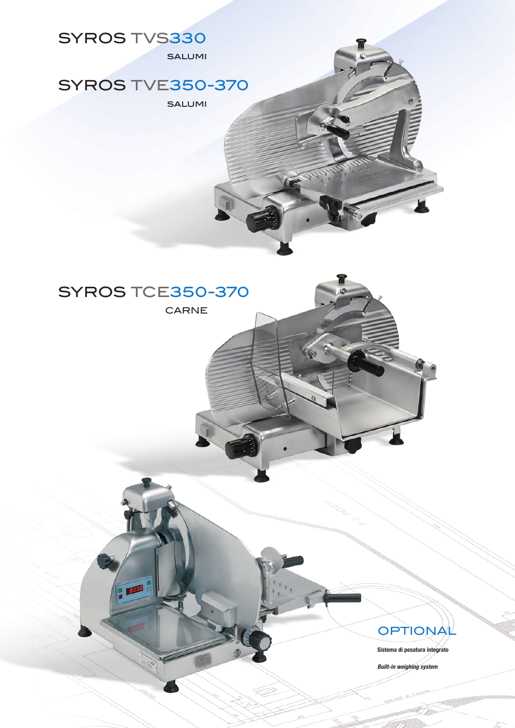